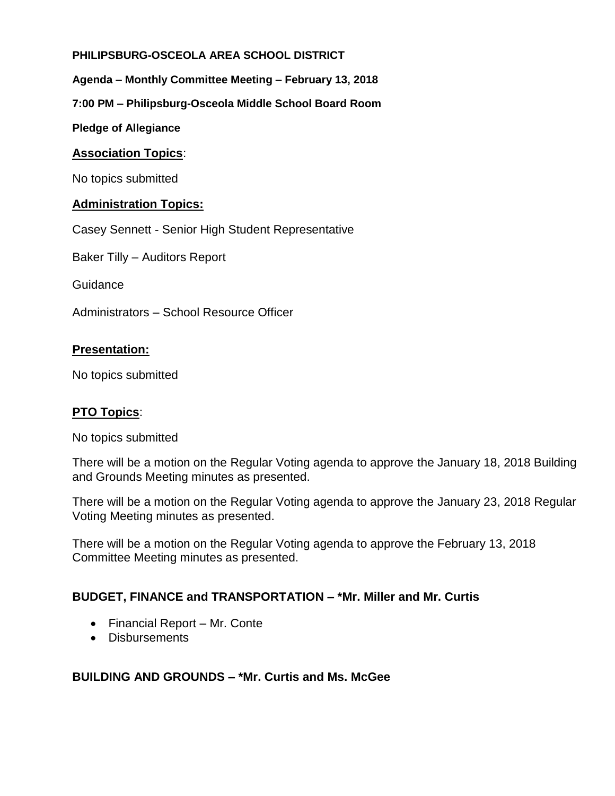## **PHILIPSBURG-OSCEOLA AREA SCHOOL DISTRICT**

**Agenda – Monthly Committee Meeting – February 13, 2018**

**7:00 PM – Philipsburg-Osceola Middle School Board Room**

**Pledge of Allegiance**

### **Association Topics**:

No topics submitted

### **Administration Topics:**

Casey Sennett - Senior High Student Representative

Baker Tilly – Auditors Report

Guidance

Administrators – School Resource Officer

### **Presentation:**

No topics submitted

#### **PTO Topics**:

No topics submitted

There will be a motion on the Regular Voting agenda to approve the January 18, 2018 Building and Grounds Meeting minutes as presented.

There will be a motion on the Regular Voting agenda to approve the January 23, 2018 Regular Voting Meeting minutes as presented.

There will be a motion on the Regular Voting agenda to approve the February 13, 2018 Committee Meeting minutes as presented.

# **BUDGET, FINANCE and TRANSPORTATION – \*Mr. Miller and Mr. Curtis**

- Financial Report Mr. Conte
- Disbursements

#### **BUILDING AND GROUNDS – \*Mr. Curtis and Ms. McGee**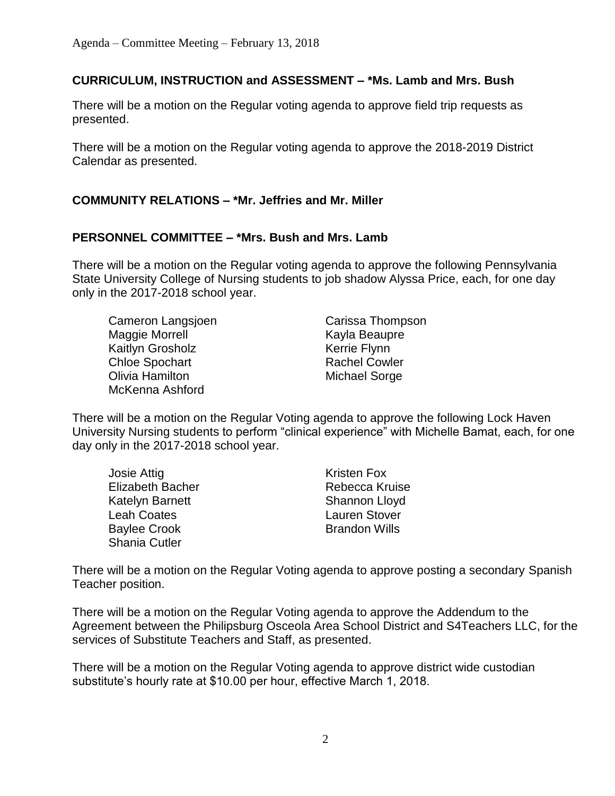# **CURRICULUM, INSTRUCTION and ASSESSMENT – \*Ms. Lamb and Mrs. Bush**

There will be a motion on the Regular voting agenda to approve field trip requests as presented.

There will be a motion on the Regular voting agenda to approve the 2018-2019 District Calendar as presented.

# **COMMUNITY RELATIONS – \*Mr. Jeffries and Mr. Miller**

# **PERSONNEL COMMITTEE – \*Mrs. Bush and Mrs. Lamb**

There will be a motion on the Regular voting agenda to approve the following Pennsylvania State University College of Nursing students to job shadow Alyssa Price, each, for one day only in the 2017-2018 school year.

Cameron Langsjoen Carissa Thompson Maggie Morrell **Kayla Beaupre** Kaitlyn Grosholz **Kerrie Flynn** Chloe Spochart Rachel Cowler **Olivia Hamilton** Michael Sorge McKenna Ashford

There will be a motion on the Regular Voting agenda to approve the following Lock Haven University Nursing students to perform "clinical experience" with Michelle Bamat, each, for one day only in the 2017-2018 school year.

| <b>Josie Attig</b>      | <b>Kristen Fox</b>    |
|-------------------------|-----------------------|
| <b>Elizabeth Bacher</b> | <b>Rebecca Kruise</b> |
| Katelyn Barnett         | Shannon Lloyd         |
| <b>Leah Coates</b>      | <b>Lauren Stover</b>  |
| <b>Baylee Crook</b>     | <b>Brandon Wills</b>  |
| Shania Cutler           |                       |

There will be a motion on the Regular Voting agenda to approve posting a secondary Spanish Teacher position.

There will be a motion on the Regular Voting agenda to approve the Addendum to the Agreement between the Philipsburg Osceola Area School District and S4Teachers LLC, for the services of Substitute Teachers and Staff, as presented.

There will be a motion on the Regular Voting agenda to approve district wide custodian substitute's hourly rate at \$10.00 per hour, effective March 1, 2018.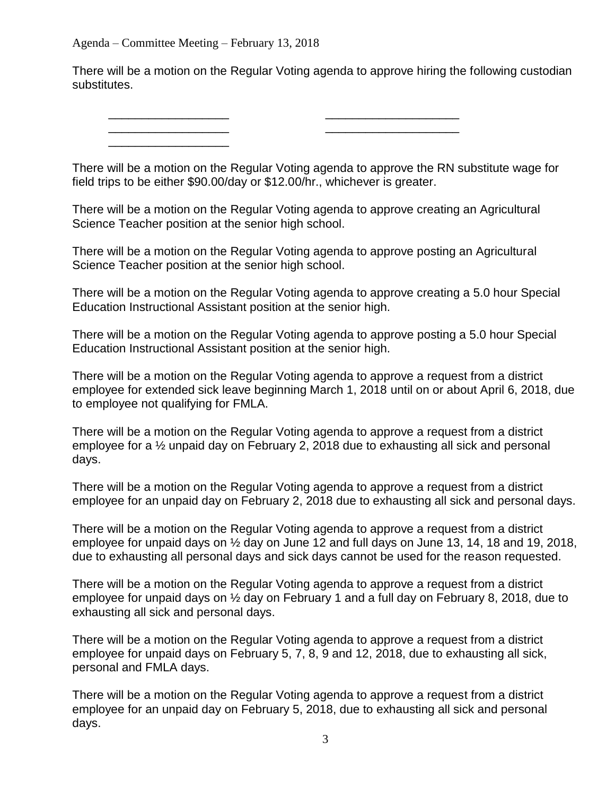\_\_\_\_\_\_\_\_\_\_\_\_\_\_\_\_\_\_

There will be a motion on the Regular Voting agenda to approve hiring the following custodian substitutes.

\_\_\_\_\_\_\_\_\_\_\_\_\_\_\_\_\_\_ \_\_\_\_\_\_\_\_\_\_\_\_\_\_\_\_\_\_\_\_  $\mathcal{L}_\text{max}$  , and the contract of the contract of the contract of the contract of the contract of the contract of the contract of the contract of the contract of the contract of the contract of the contract of the contr

There will be a motion on the Regular Voting agenda to approve the RN substitute wage for field trips to be either \$90.00/day or \$12.00/hr., whichever is greater.

There will be a motion on the Regular Voting agenda to approve creating an Agricultural Science Teacher position at the senior high school.

There will be a motion on the Regular Voting agenda to approve posting an Agricultural Science Teacher position at the senior high school.

There will be a motion on the Regular Voting agenda to approve creating a 5.0 hour Special Education Instructional Assistant position at the senior high.

There will be a motion on the Regular Voting agenda to approve posting a 5.0 hour Special Education Instructional Assistant position at the senior high.

There will be a motion on the Regular Voting agenda to approve a request from a district employee for extended sick leave beginning March 1, 2018 until on or about April 6, 2018, due to employee not qualifying for FMLA.

There will be a motion on the Regular Voting agenda to approve a request from a district employee for a ½ unpaid day on February 2, 2018 due to exhausting all sick and personal days.

There will be a motion on the Regular Voting agenda to approve a request from a district employee for an unpaid day on February 2, 2018 due to exhausting all sick and personal days.

There will be a motion on the Regular Voting agenda to approve a request from a district employee for unpaid days on ½ day on June 12 and full days on June 13, 14, 18 and 19, 2018, due to exhausting all personal days and sick days cannot be used for the reason requested.

There will be a motion on the Regular Voting agenda to approve a request from a district employee for unpaid days on ½ day on February 1 and a full day on February 8, 2018, due to exhausting all sick and personal days.

There will be a motion on the Regular Voting agenda to approve a request from a district employee for unpaid days on February 5, 7, 8, 9 and 12, 2018, due to exhausting all sick, personal and FMLA days.

There will be a motion on the Regular Voting agenda to approve a request from a district employee for an unpaid day on February 5, 2018, due to exhausting all sick and personal days.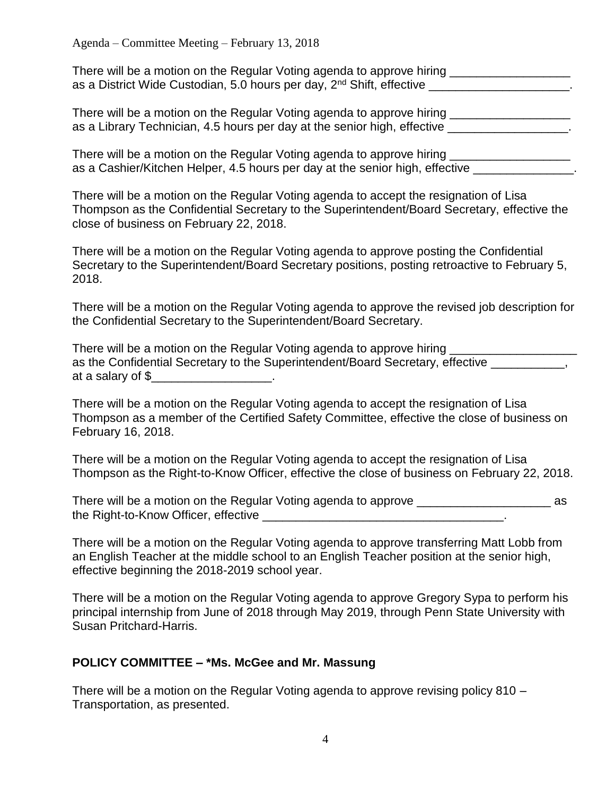| There will be a motion on the Regular Voting agenda to approve hiring             |  |
|-----------------------------------------------------------------------------------|--|
| as a District Wide Custodian, 5.0 hours per day, 2 <sup>nd</sup> Shift, effective |  |

There will be a motion on the Regular Voting agenda to approve hiring as a Library Technician, 4.5 hours per day at the senior high, effective **with the senior of the senior**.

There will be a motion on the Regular Voting agenda to approve hiring \_\_\_\_\_\_\_\_\_\_\_ as a Cashier/Kitchen Helper, 4.5 hours per day at the senior high, effective \_\_\_\_\_\_\_\_\_\_\_\_\_\_\_\_\_\_\_\_\_\_

There will be a motion on the Regular Voting agenda to accept the resignation of Lisa Thompson as the Confidential Secretary to the Superintendent/Board Secretary, effective the close of business on February 22, 2018.

There will be a motion on the Regular Voting agenda to approve posting the Confidential Secretary to the Superintendent/Board Secretary positions, posting retroactive to February 5, 2018.

There will be a motion on the Regular Voting agenda to approve the revised job description for the Confidential Secretary to the Superintendent/Board Secretary.

| There will be a motion on the Regular Voting agenda to approve hiring          |  |
|--------------------------------------------------------------------------------|--|
| as the Confidential Secretary to the Superintendent/Board Secretary, effective |  |
| at a salary of \$                                                              |  |

There will be a motion on the Regular Voting agenda to accept the resignation of Lisa Thompson as a member of the Certified Safety Committee, effective the close of business on February 16, 2018.

There will be a motion on the Regular Voting agenda to accept the resignation of Lisa Thompson as the Right-to-Know Officer, effective the close of business on February 22, 2018.

| There will be a motion on the Regular Voting agenda to approve |  |
|----------------------------------------------------------------|--|
| the Right-to-Know Officer, effective                           |  |

There will be a motion on the Regular Voting agenda to approve transferring Matt Lobb from an English Teacher at the middle school to an English Teacher position at the senior high, effective beginning the 2018-2019 school year.

There will be a motion on the Regular Voting agenda to approve Gregory Sypa to perform his principal internship from June of 2018 through May 2019, through Penn State University with Susan Pritchard-Harris.

# **POLICY COMMITTEE – \*Ms. McGee and Mr. Massung**

There will be a motion on the Regular Voting agenda to approve revising policy 810 – Transportation, as presented.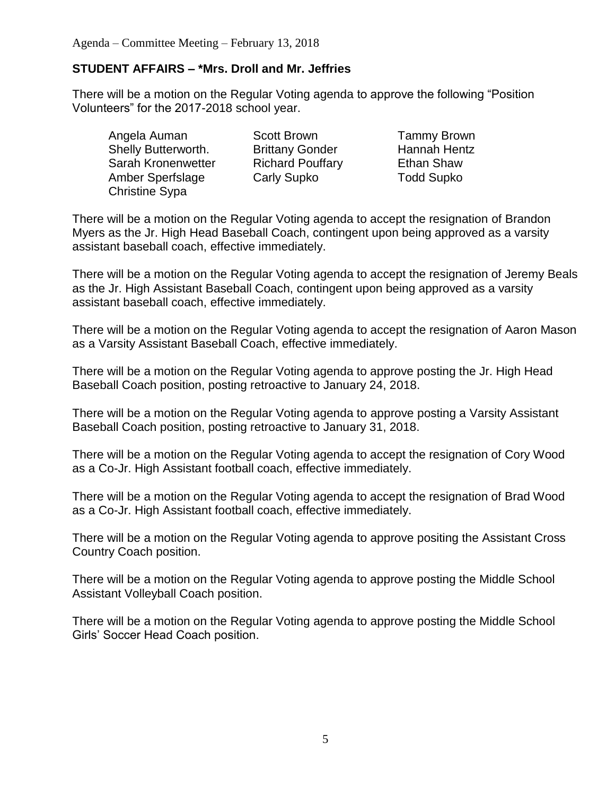## **STUDENT AFFAIRS – \*Mrs. Droll and Mr. Jeffries**

There will be a motion on the Regular Voting agenda to approve the following "Position Volunteers" for the 2017-2018 school year.

Angela Auman Scott Brown Tammy Brown Shelly Butterworth. Brittany Gonder Hannah Hentz Sarah Kronenwetter Richard Pouffary Ethan Shaw Amber Sperfslage Carly Supko Todd Supko Christine Sypa

There will be a motion on the Regular Voting agenda to accept the resignation of Brandon Myers as the Jr. High Head Baseball Coach, contingent upon being approved as a varsity assistant baseball coach, effective immediately.

There will be a motion on the Regular Voting agenda to accept the resignation of Jeremy Beals as the Jr. High Assistant Baseball Coach, contingent upon being approved as a varsity assistant baseball coach, effective immediately.

There will be a motion on the Regular Voting agenda to accept the resignation of Aaron Mason as a Varsity Assistant Baseball Coach, effective immediately.

There will be a motion on the Regular Voting agenda to approve posting the Jr. High Head Baseball Coach position, posting retroactive to January 24, 2018.

There will be a motion on the Regular Voting agenda to approve posting a Varsity Assistant Baseball Coach position, posting retroactive to January 31, 2018.

There will be a motion on the Regular Voting agenda to accept the resignation of Cory Wood as a Co-Jr. High Assistant football coach, effective immediately.

There will be a motion on the Regular Voting agenda to accept the resignation of Brad Wood as a Co-Jr. High Assistant football coach, effective immediately.

There will be a motion on the Regular Voting agenda to approve positing the Assistant Cross Country Coach position.

There will be a motion on the Regular Voting agenda to approve posting the Middle School Assistant Volleyball Coach position.

There will be a motion on the Regular Voting agenda to approve posting the Middle School Girls' Soccer Head Coach position.